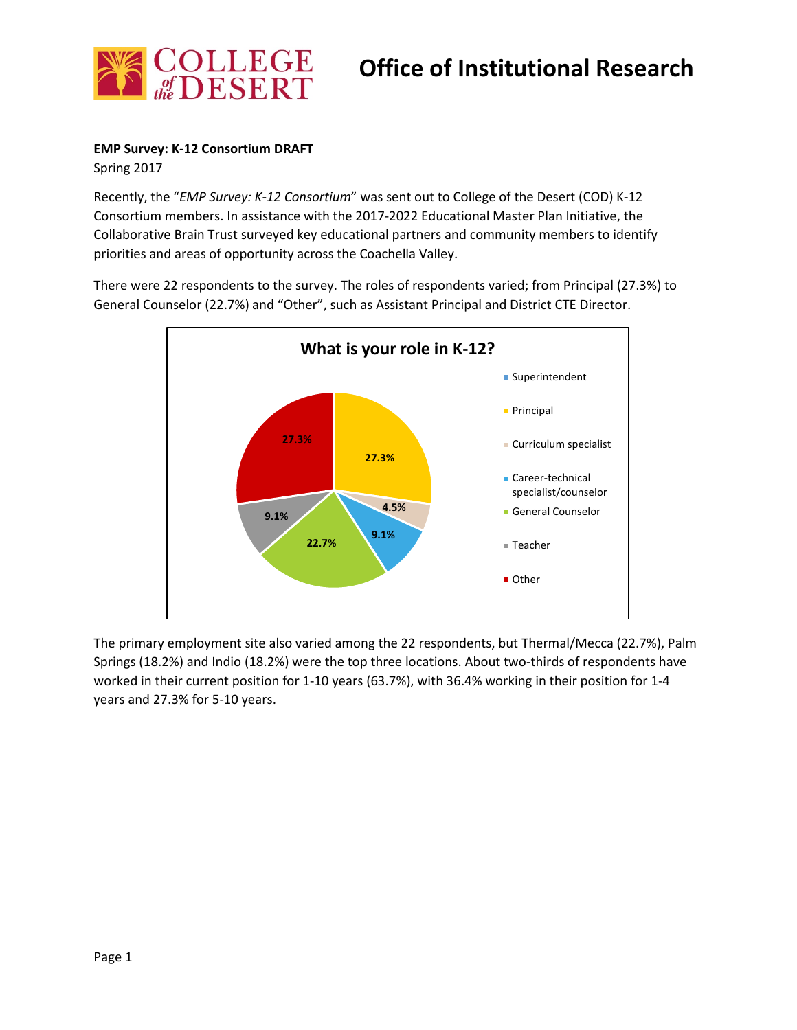

## **EMP Survey: K-12 Consortium DRAFT**

Spring 2017

Recently, the "*EMP Survey: K-12 Consortium*" was sent out to College of the Desert (COD) K-12 Consortium members. In assistance with the 2017-2022 Educational Master Plan Initiative, the Collaborative Brain Trust surveyed key educational partners and community members to identify priorities and areas of opportunity across the Coachella Valley.

There were 22 respondents to the survey. The roles of respondents varied; from Principal (27.3%) to General Counselor (22.7%) and "Other", such as Assistant Principal and District CTE Director.



The primary employment site also varied among the 22 respondents, but Thermal/Mecca (22.7%), Palm Springs (18.2%) and Indio (18.2%) were the top three locations. About two-thirds of respondents have worked in their current position for 1-10 years (63.7%), with 36.4% working in their position for 1-4 years and 27.3% for 5-10 years.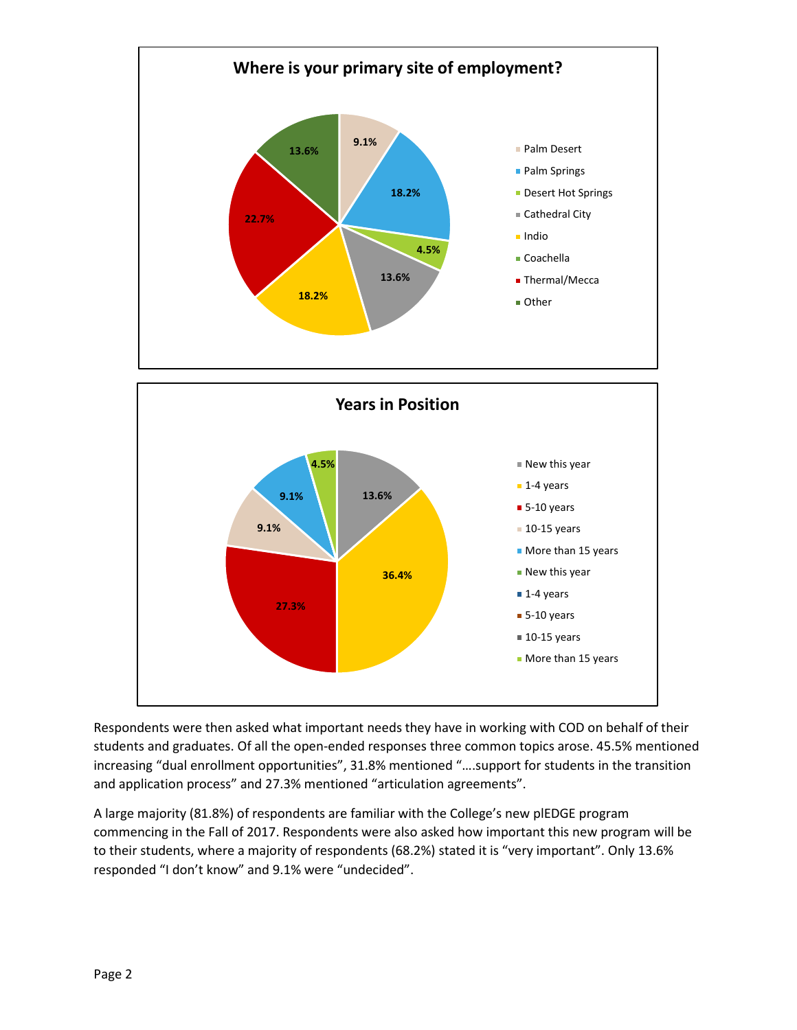

Respondents were then asked what important needs they have in working with COD on behalf of their students and graduates. Of all the open-ended responses three common topics arose. 45.5% mentioned increasing "dual enrollment opportunities", 31.8% mentioned "….support for students in the transition and application process" and 27.3% mentioned "articulation agreements".

A large majority (81.8%) of respondents are familiar with the College's new plEDGE program commencing in the Fall of 2017. Respondents were also asked how important this new program will be to their students, where a majority of respondents (68.2%) stated it is "very important". Only 13.6% responded "I don't know" and 9.1% were "undecided".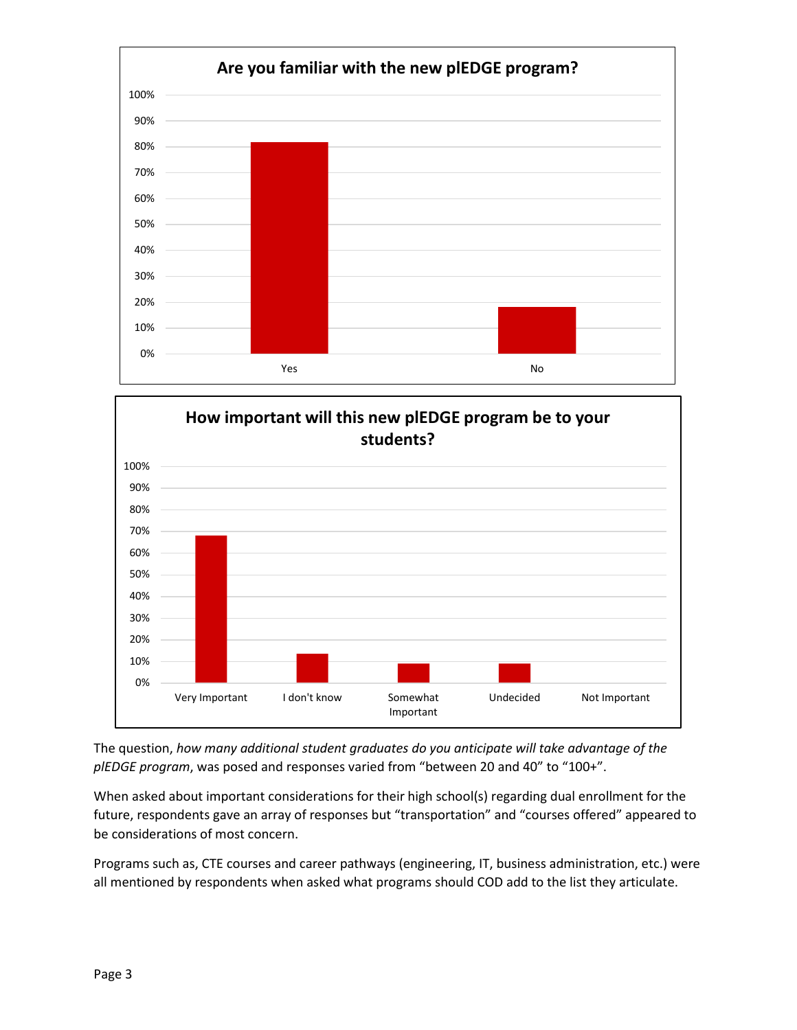



The question, *how many additional student graduates do you anticipate will take advantage of the plEDGE program*, was posed and responses varied from "between 20 and 40" to "100+".

When asked about important considerations for their high school(s) regarding dual enrollment for the future, respondents gave an array of responses but "transportation" and "courses offered" appeared to be considerations of most concern.

Programs such as, CTE courses and career pathways (engineering, IT, business administration, etc.) were all mentioned by respondents when asked what programs should COD add to the list they articulate.